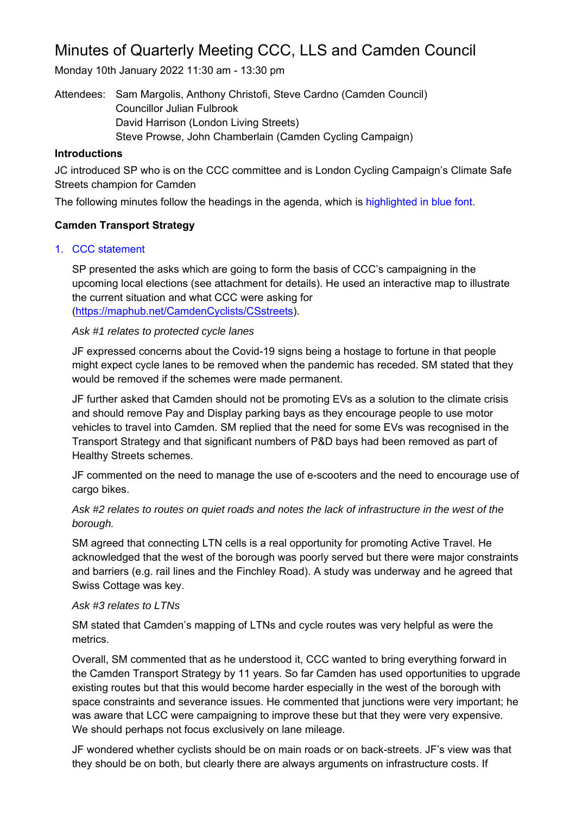# Minutes of Quarterly Meeting CCC, LLS and Camden Council

Monday 10th January 2022 11:30 am - 13:30 pm

Attendees: Sam Margolis, Anthony Christofi, Steve Cardno (Camden Council) Councillor Julian Fulbrook David Harrison (London Living Streets) Steve Prowse, John Chamberlain (Camden Cycling Campaign)

#### **Introductions**

JC introduced SP who is on the CCC committee and is London Cycling Campaign's Climate Safe Streets champion for Camden

The following minutes follow the headings in the agenda, which is highlighted in blue font.

## **Camden Transport Strategy**

## 1. CCC statement

SP presented the asks which are going to form the basis of CCC's campaigning in the upcoming local elections (see attachment for details). He used an interactive map to illustrate the current situation and what CCC were asking for (https://maphub.net/CamdenCyclists/CSstreets).

## *Ask #1 relates to protected cycle lanes*

JF expressed concerns about the Covid-19 signs being a hostage to fortune in that people might expect cycle lanes to be removed when the pandemic has receded. SM stated that they would be removed if the schemes were made permanent.

JF further asked that Camden should not be promoting EVs as a solution to the climate crisis and should remove Pay and Display parking bays as they encourage people to use motor vehicles to travel into Camden. SM replied that the need for some EVs was recognised in the Transport Strategy and that significant numbers of P&D bays had been removed as part of Healthy Streets schemes.

JF commented on the need to manage the use of e-scooters and the need to encourage use of cargo bikes.

# *Ask #2 relates to routes on quiet roads and notes the lack of infrastructure in the west of the borough.*

SM agreed that connecting LTN cells is a real opportunity for promoting Active Travel. He acknowledged that the west of the borough was poorly served but there were major constraints and barriers (e.g. rail lines and the Finchley Road). A study was underway and he agreed that Swiss Cottage was key.

## *Ask #3 relates to LTNs*

SM stated that Camden's mapping of LTNs and cycle routes was very helpful as were the metrics.

Overall, SM commented that as he understood it, CCC wanted to bring everything forward in the Camden Transport Strategy by 11 years. So far Camden has used opportunities to upgrade existing routes but that this would become harder especially in the west of the borough with space constraints and severance issues. He commented that junctions were very important; he was aware that LCC were campaigning to improve these but that they were very expensive. We should perhaps not focus exclusively on lane mileage.

JF wondered whether cyclists should be on main roads or on back-streets. JF's view was that they should be on both, but clearly there are always arguments on infrastructure costs. If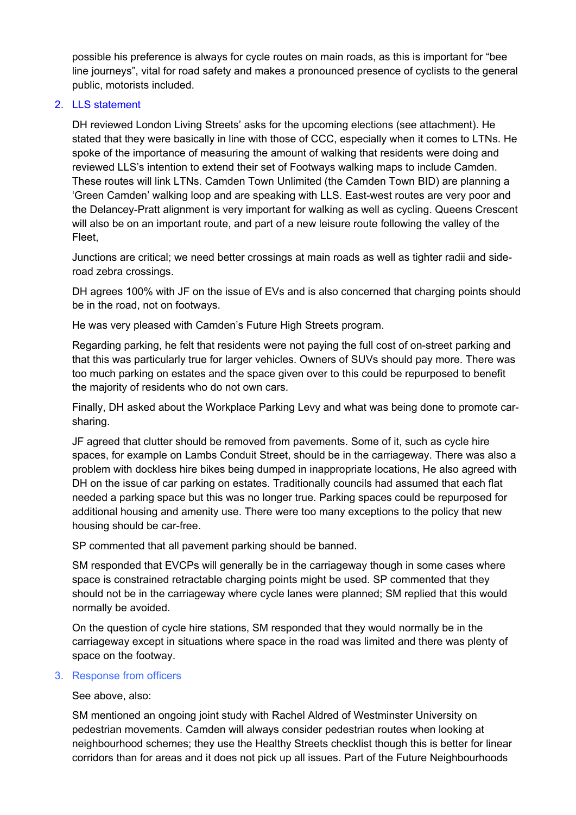possible his preference is always for cycle routes on main roads, as this is important for "bee line journeys", vital for road safety and makes a pronounced presence of cyclists to the general public, motorists included.

#### 2. LLS statement

DH reviewed London Living Streets' asks for the upcoming elections (see attachment). He stated that they were basically in line with those of CCC, especially when it comes to LTNs. He spoke of the importance of measuring the amount of walking that residents were doing and reviewed LLS's intention to extend their set of Footways walking maps to include Camden. These routes will link LTNs. Camden Town Unlimited (the Camden Town BID) are planning a 'Green Camden' walking loop and are speaking with LLS. East-west routes are very poor and the Delancey-Pratt alignment is very important for walking as well as cycling. Queens Crescent will also be on an important route, and part of a new leisure route following the valley of the Fleet,

Junctions are critical; we need better crossings at main roads as well as tighter radii and sideroad zebra crossings.

DH agrees 100% with JF on the issue of EVs and is also concerned that charging points should be in the road, not on footways.

He was very pleased with Camden's Future High Streets program.

Regarding parking, he felt that residents were not paying the full cost of on-street parking and that this was particularly true for larger vehicles. Owners of SUVs should pay more. There was too much parking on estates and the space given over to this could be repurposed to benefit the majority of residents who do not own cars.

Finally, DH asked about the Workplace Parking Levy and what was being done to promote carsharing.

JF agreed that clutter should be removed from pavements. Some of it, such as cycle hire spaces, for example on Lambs Conduit Street, should be in the carriageway. There was also a problem with dockless hire bikes being dumped in inappropriate locations, He also agreed with DH on the issue of car parking on estates. Traditionally councils had assumed that each flat needed a parking space but this was no longer true. Parking spaces could be repurposed for additional housing and amenity use. There were too many exceptions to the policy that new housing should be car-free.

SP commented that all pavement parking should be banned.

SM responded that EVCPs will generally be in the carriageway though in some cases where space is constrained retractable charging points might be used. SP commented that they should not be in the carriageway where cycle lanes were planned; SM replied that this would normally be avoided.

On the question of cycle hire stations, SM responded that they would normally be in the carriageway except in situations where space in the road was limited and there was plenty of space on the footway.

#### 3. Response from officers

See above, also:

SM mentioned an ongoing joint study with Rachel Aldred of Westminster University on pedestrian movements. Camden will always consider pedestrian routes when looking at neighbourhood schemes; they use the Healthy Streets checklist though this is better for linear corridors than for areas and it does not pick up all issues. Part of the Future Neighbourhoods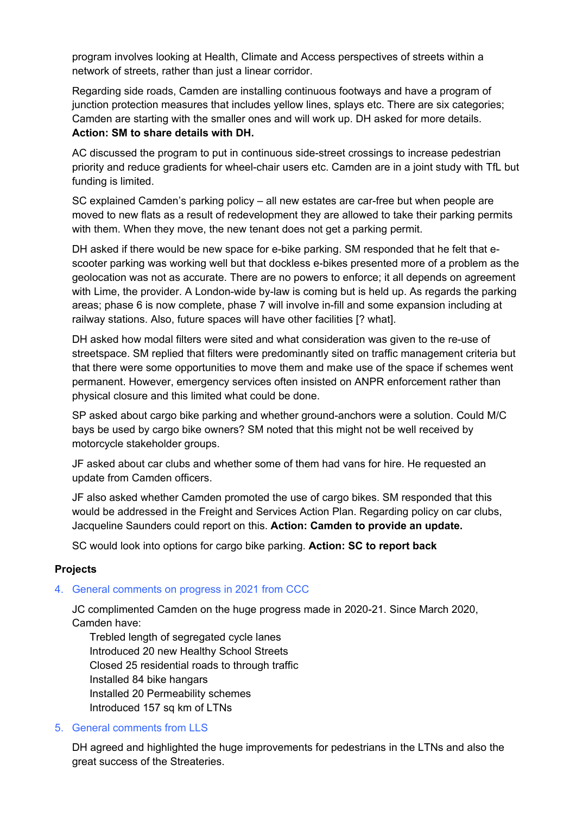program involves looking at Health, Climate and Access perspectives of streets within a network of streets, rather than just a linear corridor.

Regarding side roads, Camden are installing continuous footways and have a program of junction protection measures that includes yellow lines, splays etc. There are six categories; Camden are starting with the smaller ones and will work up. DH asked for more details.

# **Action: SM to share details with DH.**

AC discussed the program to put in continuous side-street crossings to increase pedestrian priority and reduce gradients for wheel-chair users etc. Camden are in a joint study with TfL but funding is limited.

SC explained Camden's parking policy – all new estates are car-free but when people are moved to new flats as a result of redevelopment they are allowed to take their parking permits with them. When they move, the new tenant does not get a parking permit.

DH asked if there would be new space for e-bike parking. SM responded that he felt that escooter parking was working well but that dockless e-bikes presented more of a problem as the geolocation was not as accurate. There are no powers to enforce; it all depends on agreement with Lime, the provider. A London-wide by-law is coming but is held up. As regards the parking areas; phase 6 is now complete, phase 7 will involve in-fill and some expansion including at railway stations. Also, future spaces will have other facilities [? what].

DH asked how modal filters were sited and what consideration was given to the re-use of streetspace. SM replied that filters were predominantly sited on traffic management criteria but that there were some opportunities to move them and make use of the space if schemes went permanent. However, emergency services often insisted on ANPR enforcement rather than physical closure and this limited what could be done.

SP asked about cargo bike parking and whether ground-anchors were a solution. Could M/C bays be used by cargo bike owners? SM noted that this might not be well received by motorcycle stakeholder groups.

JF asked about car clubs and whether some of them had vans for hire. He requested an update from Camden officers.

JF also asked whether Camden promoted the use of cargo bikes. SM responded that this would be addressed in the Freight and Services Action Plan. Regarding policy on car clubs, Jacqueline Saunders could report on this. **Action: Camden to provide an update.** 

SC would look into options for cargo bike parking. **Action: SC to report back** 

## **Projects**

## 4. General comments on progress in 2021 from CCC

JC complimented Camden on the huge progress made in 2020-21. Since March 2020, Camden have:

Trebled length of segregated cycle lanes Introduced 20 new Healthy School Streets Closed 25 residential roads to through traffic Installed 84 bike hangars Installed 20 Permeability schemes Introduced 157 sq km of LTNs

#### 5. General comments from LLS

DH agreed and highlighted the huge improvements for pedestrians in the LTNs and also the great success of the Streateries.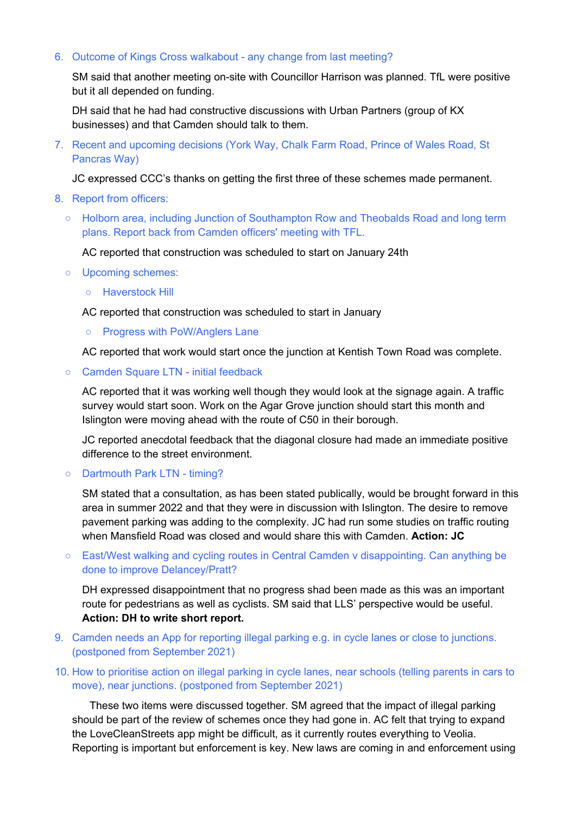#### 6. Outcome of Kings Cross walkabout - any change from last meeting?

SM said that another meeting on-site with Councillor Harrison was planned. TfL were positive but it all depended on funding.

DH said that he had had constructive discussions with Urban Partners (group of KX businesses) and that Camden should talk to them.

7. Recent and upcoming decisions (York Way, Chalk Farm Road, Prince of Wales Road, St Pancras Way)

JC expressed CCC's thanks on getting the first three of these schemes made permanent.

- 8. Report from officers:
	- Holborn area, including Junction of Southampton Row and Theobalds Road and long term plans. Report back from Camden officers' meeting with TFL.

AC reported that construction was scheduled to start on January 24th

- Upcoming schemes:
	- Haverstock Hill

AC reported that construction was scheduled to start in January

**○** Progress with PoW/Anglers Lane

AC reported that work would start once the junction at Kentish Town Road was complete.

**○** Camden Square LTN - initial feedback

AC reported that it was working well though they would look at the signage again. A traffic survey would start soon. Work on the Agar Grove junction should start this month and Islington were moving ahead with the route of C50 in their borough.

JC reported anecdotal feedback that the diagonal closure had made an immediate positive difference to the street environment.

**○** Dartmouth Park LTN - timing?

SM stated that a consultation, as has been stated publically, would be brought forward in this area in summer 2022 and that they were in discussion with Islington. The desire to remove pavement parking was adding to the complexity. JC had run some studies on traffic routing when Mansfield Road was closed and would share this with Camden. **Action: JC**

**○** East/West walking and cycling routes in Central Camden v disappointing. Can anything be done to improve Delancey/Pratt?

DH expressed disappointment that no progress shad been made as this was an important route for pedestrians as well as cyclists. SM said that LLS' perspective would be useful. **Action: DH to write short report.** 

- 9. Camden needs an App for reporting illegal parking e.g. in cycle lanes or close to junctions. (postponed from September 2021)
- 10. How to prioritise action on illegal parking in cycle lanes, near schools (telling parents in cars to move), near junctions. (postponed from September 2021)

These two items were discussed together. SM agreed that the impact of illegal parking should be part of the review of schemes once they had gone in. AC felt that trying to expand the LoveCleanStreets app might be difficult, as it currently routes everything to Veolia. Reporting is important but enforcement is key. New laws are coming in and enforcement using